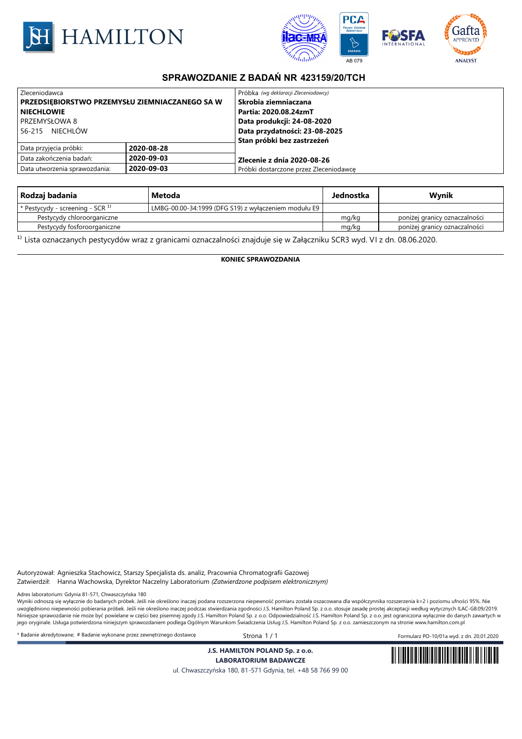



## **SPRAWOZDANIE Z BADAŃ NR 423159/20/TCH**

| Zleceniodawca                                  |            | Próbka (wg deklaracji Zleceniodawcy)   |  |
|------------------------------------------------|------------|----------------------------------------|--|
| PRZEDSIEBIORSTWO PRZEMYSŁU ZIEMNIACZANEGO SA W |            | l Skrobia ziemniaczana                 |  |
| NIECHLOWIE                                     |            | Partia: 2020.08.24zmT                  |  |
| l PRZEMYSŁOWA 8                                |            | Data produkcji: 24-08-2020             |  |
| 56-215 NIECHLÓW                                |            | Data przydatności: 23-08-2025          |  |
|                                                |            | Stan próbki bez zastrzeżeń             |  |
| Data przyjęcia próbki:                         | 2020-08-28 |                                        |  |
| Data zakończenia badań:                        | 2020-09-03 | Zlecenie z dnia 2020-08-26             |  |
| 2020-09-03<br>Data utworzenia sprawozdania:    |            | Próbki dostarczone przez Zleceniodawce |  |

| Rodzaj badania                   | Metoda                                               | Jednostka | Wynik                         |
|----------------------------------|------------------------------------------------------|-----------|-------------------------------|
| * Pestycydy - screening - SCR 1) | LMBG-00.00-34:1999 (DFG S19) z wyłączeniem modułu E9 |           |                               |
| Pestycydy chloroorganiczne       |                                                      | mg/kg     | poniżej granicy oznaczalności |
| Pestycydy fosforoorganiczne      |                                                      | mg/kg     | poniżej granicy oznaczalności |

<sup>1)</sup> Lista oznaczanych pestycydów wraz z granicami oznaczalności znajduje się w Załączniku SCR3 wyd. VI z dn. 08.06.2020.

**KONIEC SPRAWOZDANIA**

Autoryzował: Agnieszka Stachowicz, Starszy Specjalista ds. analiz, Pracownia Chromatografii Gazowej Zatwierdził: Hanna Wachowska, Dyrektor Naczelny Laboratorium *(Zatwierdzone podpisem elektronicznym)*

Adres laboratorium: Gdynia 81-571, Chwaszczyńska 180

wawa wawa wa wawa wawa wawa wa wazazy wa wazazy wa konstrukcja podana rozszerzona niepewność pomiaru została oszacowana dla współczynnika rozszerzenia k=2 i poziomu ufności 95%. Nie zakazy wa konstrukcja i poziomu ufności uwzględniono niepewności pobierania próbek. Jeśli nie określono inaczej podczas stwierdzania zgodności J.S. Hamilton Poland Sp. z o.o. stosuje zasadę prostej akceptacji według wytycznych ILAC-G8:09/2019. Niniejsze sprawozdanie nie może być powielane w części bez pisemnej zgody J.S. Hamilton Poland Sp. z o.o. Odpowiedzialność J.S. Hamilton Poland Sp. z o.o. jest ograniczona wyłącznie do danych zawartych w jego oryginale. Usługa potwierdzona niniejszym sprawozdaniem podlega Ogólnym Warunkom Świadczenia Usług J.S. Hamilton Poland Sp. z o.o. zamieszczonym na stronie www.hamilton.com.pl

\* Badanie akredytowane; # Badanie wykonane przez zewnętrznego dostawcę Strona 1 / 1 Formularz PO-10/01a wyd. z dn. 20.01.2020

**J.S. HAMILTON POLAND Sp. z o.o.**



**LABORATORIUM BADAWCZE** ul. Chwaszczyńska 180, 81-571 Gdynia, tel. +48 58 766 99 00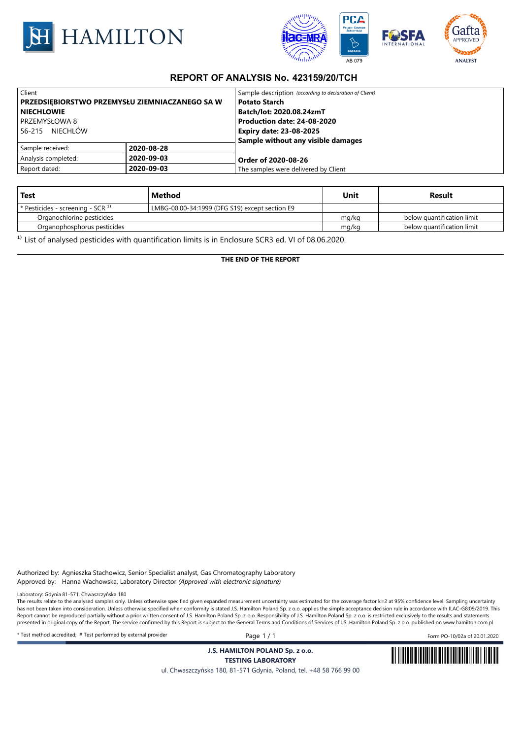



## **REPORT OF ANALYSIS No. 423159/20/TCH**

| Client                                                |            | Sample description (according to declaration of Client) |  |
|-------------------------------------------------------|------------|---------------------------------------------------------|--|
| <b>PRZEDSIEBIORSTWO PRZEMYSŁU ZIEMNIACZANEGO SA W</b> |            | <b>Potato Starch</b>                                    |  |
| <b>NIECHLOWIE</b>                                     |            | Batch/lot: 2020.08.24zmT                                |  |
| PRZEMYSŁOWA 8                                         |            | Production date: 24-08-2020                             |  |
| 56-215 NIECHLÓW                                       |            | <b>Expiry date: 23-08-2025</b>                          |  |
|                                                       |            | Sample without any visible damages                      |  |
| Sample received:                                      | 2020-08-28 |                                                         |  |
| Analysis completed:                                   | 2020-09-03 | Order of 2020-08-26                                     |  |
| 2020-09-03<br>Report dated:                           |            | The samples were delivered by Client                    |  |

| Test                                 | Method                                         | Unit  | Result                     |
|--------------------------------------|------------------------------------------------|-------|----------------------------|
| $*$ Pesticides - screening - SCR $1$ | LMBG-00.00-34:1999 (DFG S19) except section E9 |       |                            |
| Organochlorine pesticides            |                                                | mg/kg | below quantification limit |
| Organophosphorus pesticides          |                                                | mg/kg | below quantification limit |

<sup>1)</sup> List of analysed pesticides with quantification limits is in Enclosure SCR3 ed. VI of 08.06.2020.

**THE END OF THE REPORT**

Authorized by: Agnieszka Stachowicz, Senior Specialist analyst, Gas Chromatography Laboratory Approved by: Hanna Wachowska, Laboratory Director *(Approved with electronic signature)*

Laboratory: Gdynia 81-571, Chwaszczyńska 180

The results relate to the analysed samples only. Unless otherwise specified given expanded measurement uncertainty was estimated for the coverage factor k=2 at 95% confidence level. Sampling uncertainty has not been taken into consideration. Unless otherwise specified when conformity is stated J.S. Hamilton Poland Sp. z o.o. applies the simple acceptance decision rule in accordance with ILAC-G8:09/2019. This Report cannot be reproduced partially without a prior written consent of J.S. Hamilton Poland Sp. z o.o. Responsibility of J.S. Hamilton Poland Sp. z o.o. is restricted exclusively to the results and statements presented in original copy of the Report. The service confirmed by this Report is subject to the General Terms and Conditions of Services of J.S. Hamilton Poland Sp. z o.o. published on www.hamilton.com.pl

\* Test method accredited; # Test performed by external provider Page 1 / 1 Form PO-10/02a of 20.01.2020

**J.S. HAMILTON POLAND Sp. z o.o.**



**TESTING LABORATORY** ul. Chwaszczyńska 180, 81-571 Gdynia, Poland, tel. +48 58 766 99 00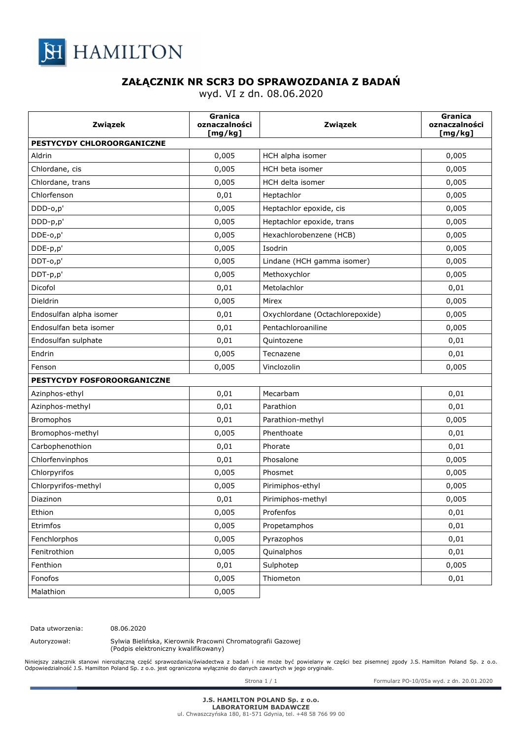

## **ZAŁĄCZNIK NR SCR3 DO SPRAWOZDANIA Z BADAŃ**

wyd. VI z dn. 08.06.2020

| Związek                     | Granica<br>oznaczalności<br>[mg/kg] | Związek                         | Granica<br>oznaczalności<br>[mg/kg] |  |
|-----------------------------|-------------------------------------|---------------------------------|-------------------------------------|--|
| PESTYCYDY CHLOROORGANICZNE  |                                     |                                 |                                     |  |
| Aldrin                      | 0,005                               | HCH alpha isomer                | 0,005                               |  |
| Chlordane, cis              | 0,005                               | HCH beta isomer                 | 0,005                               |  |
| Chlordane, trans            | 0,005                               | HCH delta isomer                | 0,005                               |  |
| Chlorfenson                 | 0,01                                | Heptachlor                      | 0,005                               |  |
| DDD-0,p'                    | 0,005                               | Heptachlor epoxide, cis         | 0,005                               |  |
| DDD-p,p'                    | 0,005                               | Heptachlor epoxide, trans       | 0,005                               |  |
| DDE-o,p'                    | 0,005                               | Hexachlorobenzene (HCB)         | 0,005                               |  |
| DDE-p,p'                    | 0,005                               | Isodrin                         | 0,005                               |  |
| DDT-o,p'                    | 0,005                               | Lindane (HCH gamma isomer)      | 0,005                               |  |
| DDT-p,p'                    | 0,005                               | Methoxychlor                    | 0,005                               |  |
| Dicofol                     | 0,01                                | Metolachlor                     | 0,01                                |  |
| Dieldrin                    | 0,005                               | Mirex                           | 0,005                               |  |
| Endosulfan alpha isomer     | 0,01                                | Oxychlordane (Octachlorepoxide) | 0,005                               |  |
| Endosulfan beta isomer      | 0,01                                | Pentachloroaniline              | 0,005                               |  |
| Endosulfan sulphate         | 0,01                                | Quintozene                      | 0,01                                |  |
| Endrin                      | 0,005                               | Tecnazene                       | 0,01                                |  |
| Fenson                      | 0,005                               | Vinclozolin                     | 0,005                               |  |
| PESTYCYDY FOSFOROORGANICZNE |                                     |                                 |                                     |  |
| Azinphos-ethyl              | 0,01                                | Mecarbam                        | 0,01                                |  |
| Azinphos-methyl             | 0,01                                | Parathion                       | 0,01                                |  |
| <b>Bromophos</b>            | 0,01                                | Parathion-methyl                | 0,005                               |  |
| Bromophos-methyl            | 0,005                               | Phenthoate                      | 0,01                                |  |
| Carbophenothion             | 0,01                                | Phorate                         | 0,01                                |  |
| Chlorfenvinphos             | 0,01                                | Phosalone                       | 0,005                               |  |
| Chlorpyrifos                | 0,005                               | Phosmet                         | 0,005                               |  |
| Chlorpyrifos-methyl         | 0,005                               | Pirimiphos-ethyl                | 0,005                               |  |
| Diazinon                    | 0,01                                | Pirimiphos-methyl               | 0,005                               |  |
| Ethion                      | 0,005                               | Profenfos                       | 0,01                                |  |
| Etrimfos                    | 0,005                               | Propetamphos                    | 0,01                                |  |
| Fenchlorphos                | 0,005                               | Pyrazophos                      | 0,01                                |  |
| Fenitrothion                | 0,005                               | Quinalphos                      | 0,01                                |  |
| Fenthion                    | 0,01                                | Sulphotep                       | 0,005                               |  |
| Fonofos                     | 0,005                               | Thiometon                       | 0,01                                |  |
| Malathion                   | 0,005                               |                                 |                                     |  |

Data utworzenia: 08.06.2020

Autoryzował: Sylwia Bielińska, Kierownik Pracowni Chromatografii Gazowej (Podpis elektroniczny kwalifikowany)

Niniejszy załącznik stanowi nierozłączną część sprawozdania/świadectwa z badań i nie może być powielany w części bez pisemnej zgody J.S. Hamilton Poland Sp. z o.o.<br>Odpowiedzialność J.S. Hamilton Poland Sp. z o.o. jest ogra